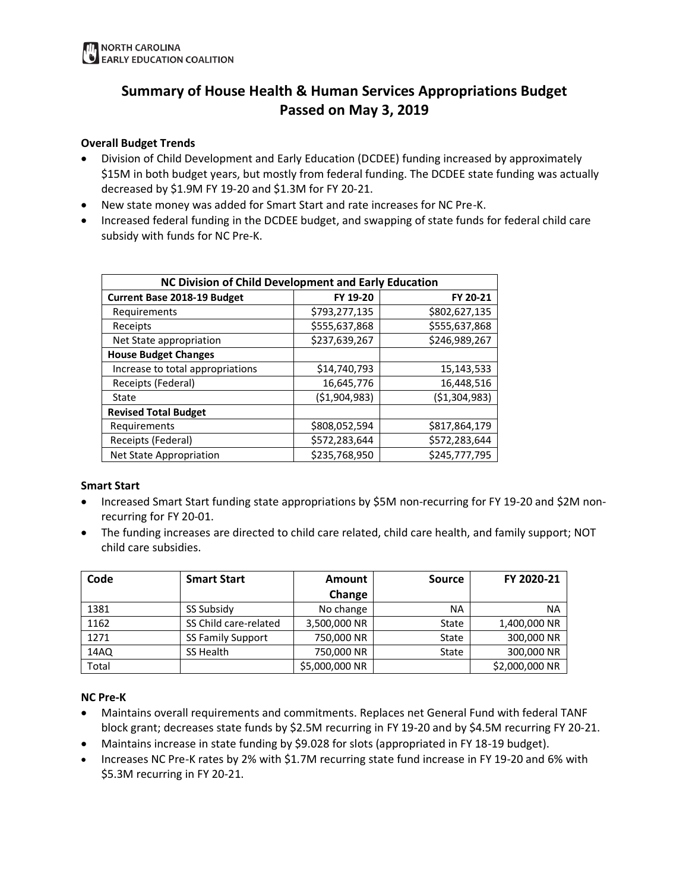# **Summary of House Health & Human Services Appropriations Budget Passed on May 3, 2019**

### **Overall Budget Trends**

- Division of Child Development and Early Education (DCDEE) funding increased by approximately \$15M in both budget years, but mostly from federal funding. The DCDEE state funding was actually decreased by \$1.9M FY 19-20 and \$1.3M for FY 20-21.
- New state money was added for Smart Start and rate increases for NC Pre-K.
- Increased federal funding in the DCDEE budget, and swapping of state funds for federal child care subsidy with funds for NC Pre-K.

| NC Division of Child Development and Early Education |                                |                |  |  |  |
|------------------------------------------------------|--------------------------------|----------------|--|--|--|
| <b>Current Base 2018-19 Budget</b>                   | FY 19-20                       | FY 20-21       |  |  |  |
| Requirements                                         | \$793,277,135                  | \$802,627,135  |  |  |  |
| Receipts                                             | \$555,637,868                  | \$555,637,868  |  |  |  |
| Net State appropriation                              | \$237,639,267                  | \$246,989,267  |  |  |  |
| <b>House Budget Changes</b>                          |                                |                |  |  |  |
| Increase to total appropriations                     | \$14,740,793                   | 15,143,533     |  |  |  |
| Receipts (Federal)                                   | 16,645,776                     | 16,448,516     |  |  |  |
| State                                                | (\$1,904,983)                  | ( \$1,304,983) |  |  |  |
| <b>Revised Total Budget</b>                          |                                |                |  |  |  |
| Requirements                                         | \$808,052,594                  | \$817,864,179  |  |  |  |
| Receipts (Federal)                                   | \$572,283,644<br>\$572,283,644 |                |  |  |  |
| Net State Appropriation                              | \$235,768,950                  | \$245.777.795  |  |  |  |

#### **Smart Start**

- Increased Smart Start funding state appropriations by \$5M non-recurring for FY 19-20 and \$2M nonrecurring for FY 20-01.
- The funding increases are directed to child care related, child care health, and family support; NOT child care subsidies.

| Code  | <b>Smart Start</b>       | Amount         | <b>Source</b> | FY 2020-21     |
|-------|--------------------------|----------------|---------------|----------------|
|       |                          | Change         |               |                |
| 1381  | SS Subsidy               | No change      | ΝA            | <b>NA</b>      |
| 1162  | SS Child care-related    | 3,500,000 NR   | State         | 1,400,000 NR   |
| 1271  | <b>SS Family Support</b> | 750,000 NR     | State         | 300,000 NR     |
| 14AQ  | SS Health                | 750,000 NR     | State         | 300,000 NR     |
| Total |                          | \$5,000,000 NR |               | \$2,000,000 NR |

#### **NC Pre-K**

- Maintains overall requirements and commitments. Replaces net General Fund with federal TANF block grant; decreases state funds by \$2.5M recurring in FY 19-20 and by \$4.5M recurring FY 20-21.
- Maintains increase in state funding by \$9.028 for slots (appropriated in FY 18-19 budget).
- Increases NC Pre-K rates by 2% with \$1.7M recurring state fund increase in FY 19-20 and 6% with \$5.3M recurring in FY 20-21.